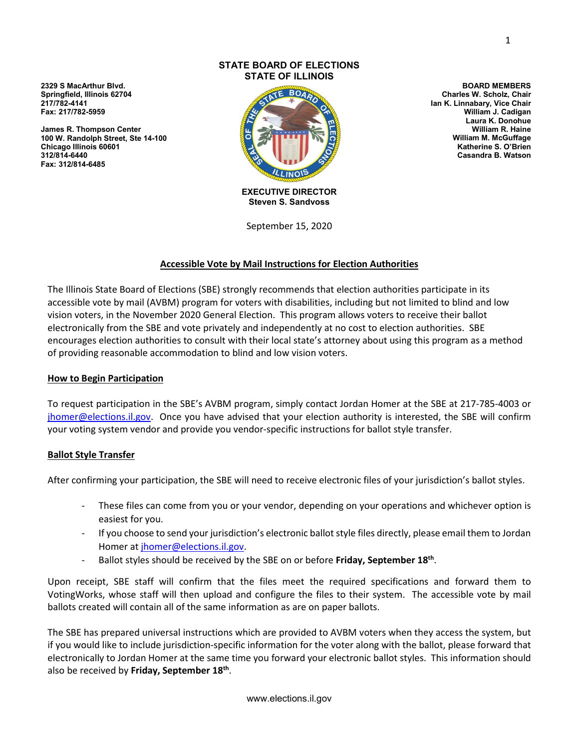**2329 S MacArthur Blvd. Springfield, Illinois 62704 217/782-4141 Fax: 217/782-5959**

**James R. Thompson Center 100 W. Randolph Street, Ste 14-100 Chicago Illinois 60601 312/814-6440 Fax: 312/814-6485**

#### **STATE BOARD OF ELECTIONS STATE OF ILLINOIS**



**EXECUTIVE DIRECTOR Steven S. Sandvoss**

September 15, 2020

### **Accessible Vote by Mail Instructions for Election Authorities**

The Illinois State Board of Elections (SBE) strongly recommends that election authorities participate in its accessible vote by mail (AVBM) program for voters with disabilities, including but not limited to blind and low vision voters, in the November 2020 General Election. This program allows voters to receive their ballot electronically from the SBE and vote privately and independently at no cost to election authorities. SBE encourages election authorities to consult with their local state's attorney about using this program as a method of providing reasonable accommodation to blind and low vision voters.

### **How to Begin Participation**

To request participation in the SBE's AVBM program, simply contact Jordan Homer at the SBE at 217-785-4003 or [jhomer@elections.il.gov.](mailto:jhomer@elections.il.gov) Once you have advised that your election authority is interested, the SBE will confirm your voting system vendor and provide you vendor-specific instructions for ballot style transfer.

### **Ballot Style Transfer**

After confirming your participation, the SBE will need to receive electronic files of your jurisdiction's ballot styles.

- These files can come from you or your vendor, depending on your operations and whichever option is easiest for you.
- If you choose to send your jurisdiction's electronic ballot style files directly, please email them to Jordan Homer at [jhomer@elections.il.gov.](mailto:jhomer@elections.il.gov)
- Ballot styles should be received by the SBE on or before **Friday, September 18th**.

Upon receipt, SBE staff will confirm that the files meet the required specifications and forward them to VotingWorks, whose staff will then upload and configure the files to their system. The accessible vote by mail ballots created will contain all of the same information as are on paper ballots.

The SBE has prepared universal instructions which are provided to AVBM voters when they access the system, but if you would like to include jurisdiction-specific information for the voter along with the ballot, please forward that electronically to Jordan Homer at the same time you forward your electronic ballot styles. This information should also be received by **Friday, September 18th**.

**BOARD MEMBERS Charles W. Scholz, Chair Ian K. Linnabary, Vice Chair William J. Cadigan Laura K. Donohue William R. Haine William M. McGuffage Katherine S. O'Brien Casandra B. Watson**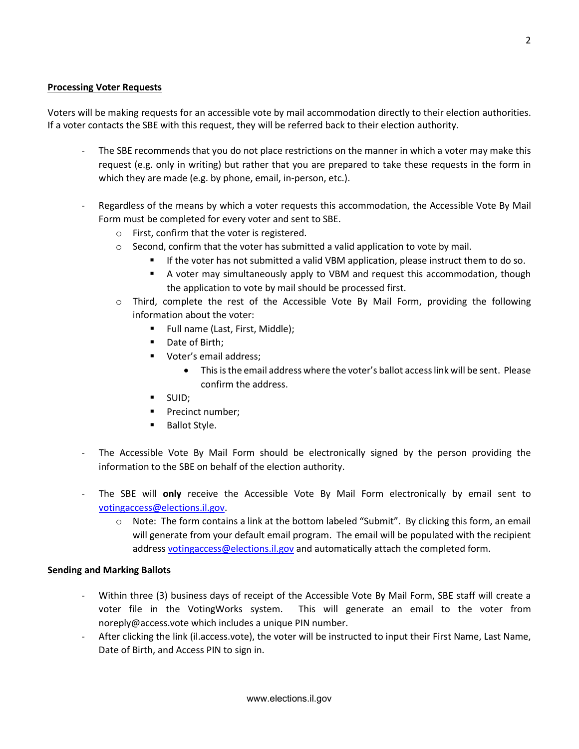### **Processing Voter Requests**

Voters will be making requests for an accessible vote by mail accommodation directly to their election authorities. If a voter contacts the SBE with this request, they will be referred back to their election authority.

- The SBE recommends that you do not place restrictions on the manner in which a voter may make this request (e.g. only in writing) but rather that you are prepared to take these requests in the form in which they are made (e.g. by phone, email, in-person, etc.).
- Regardless of the means by which a voter requests this accommodation, the Accessible Vote By Mail Form must be completed for every voter and sent to SBE.
	- o First, confirm that the voter is registered.
	- $\circ$  Second, confirm that the voter has submitted a valid application to vote by mail.
		- **If the voter has not submitted a valid VBM application, please instruct them to do so.** 
			- A voter may simultaneously apply to VBM and request this accommodation, though the application to vote by mail should be processed first.
	- o Third, complete the rest of the Accessible Vote By Mail Form, providing the following information about the voter:
		- Full name (Last, First, Middle);
		- Date of Birth;
		- **Voter's email address:** 
			- This is the email address where the voter's ballot access link will be sent. Please confirm the address.
		- SUID;
		- **Precinct number;**
		- **Ballot Style.**
- The Accessible Vote By Mail Form should be electronically signed by the person providing the information to the SBE on behalf of the election authority.
- The SBE will only receive the Accessible Vote By Mail Form electronically by email sent to [votingaccess@elections.il.gov.](mailto:votingaccess@elections.il.gov)
	- $\circ$  Note: The form contains a link at the bottom labeled "Submit". By clicking this form, an email will generate from your default email program. The email will be populated with the recipient addres[s votingaccess@elections.il.gov](mailto:votingaccess@elections.il.gov) and automatically attach the completed form.

#### **Sending and Marking Ballots**

- Within three (3) business days of receipt of the Accessible Vote By Mail Form, SBE staff will create a voter file in the VotingWorks system. This will generate an email to the voter from noreply@access.vote which includes a unique PIN number.
- After clicking the link (il.access.vote), the voter will be instructed to input their First Name, Last Name, Date of Birth, and Access PIN to sign in.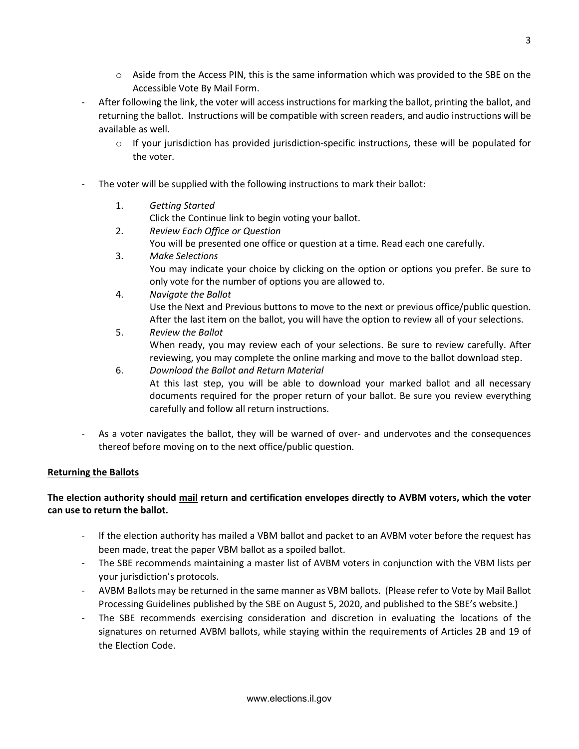- $\circ$  Aside from the Access PIN, this is the same information which was provided to the SBE on the Accessible Vote By Mail Form.
- After following the link, the voter will access instructions for marking the ballot, printing the ballot, and returning the ballot. Instructions will be compatible with screen readers, and audio instructions will be available as well.
	- $\circ$  If your jurisdiction has provided jurisdiction-specific instructions, these will be populated for the voter.
- The voter will be supplied with the following instructions to mark their ballot:
	- 1. *Getting Started*

Click the Continue link to begin voting your ballot.

- 2. *Review Each Office or Question* You will be presented one office or question at a time. Read each one carefully.
- 3. *Make Selections* You may indicate your choice by clicking on the option or options you prefer. Be sure to only vote for the number of options you are allowed to.
- 4. *Navigate the Ballot* Use the Next and Previous buttons to move to the next or previous office/public question. After the last item on the ballot, you will have the option to review all of your selections.
- 5. *Review the Ballot* When ready, you may review each of your selections. Be sure to review carefully. After reviewing, you may complete the online marking and move to the ballot download step. 6. *Download the Ballot and Return Material*
- At this last step, you will be able to download your marked ballot and all necessary documents required for the proper return of your ballot. Be sure you review everything carefully and follow all return instructions.
- As a voter navigates the ballot, they will be warned of over- and undervotes and the consequences thereof before moving on to the next office/public question.

# **Returning the Ballots**

## **The election authority should mail return and certification envelopes directly to AVBM voters, which the voter can use to return the ballot.**

- If the election authority has mailed a VBM ballot and packet to an AVBM voter before the request has been made, treat the paper VBM ballot as a spoiled ballot.
- The SBE recommends maintaining a master list of AVBM voters in conjunction with the VBM lists per your jurisdiction's protocols.
- AVBM Ballots may be returned in the same manner as VBM ballots. (Please refer to Vote by Mail Ballot Processing Guidelines published by the SBE on August 5, 2020, and published to the SBE's website.)
- The SBE recommends exercising consideration and discretion in evaluating the locations of the signatures on returned AVBM ballots, while staying within the requirements of Articles 2B and 19 of the Election Code.